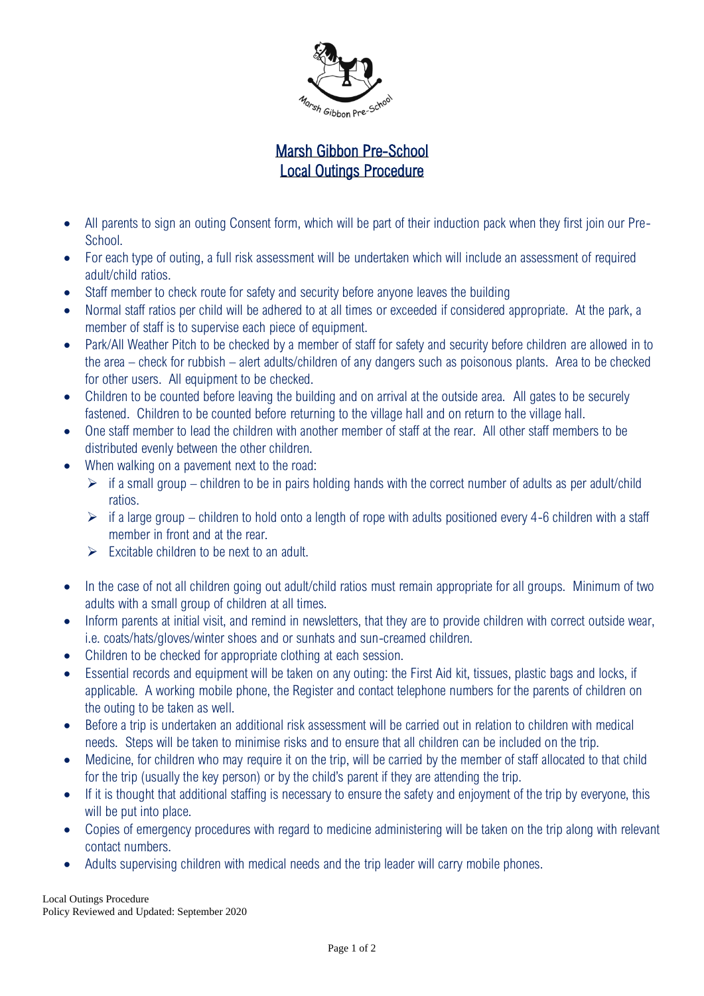

## Marsh Gibbon Pre-School Local Outings Procedure

- All parents to sign an outing Consent form, which will be part of their induction pack when they first join our Pre-School.
- For each type of outing, a full risk assessment will be undertaken which will include an assessment of required adult/child ratios.
- Staff member to check route for safety and security before anyone leaves the building
- Normal staff ratios per child will be adhered to at all times or exceeded if considered appropriate. At the park, a member of staff is to supervise each piece of equipment.
- Park/All Weather Pitch to be checked by a member of staff for safety and security before children are allowed in to the area – check for rubbish – alert adults/children of any dangers such as poisonous plants. Area to be checked for other users. All equipment to be checked.
- Children to be counted before leaving the building and on arrival at the outside area. All gates to be securely fastened. Children to be counted before returning to the village hall and on return to the village hall.
- One staff member to lead the children with another member of staff at the rear. All other staff members to be distributed evenly between the other children.
- When walking on a pavement next to the road:
	- $\triangleright$  if a small group children to be in pairs holding hands with the correct number of adults as per adult/child ratios.
	- $\triangleright$  if a large group children to hold onto a length of rope with adults positioned every 4-6 children with a staff member in front and at the rear.
	- $\triangleright$  Excitable children to be next to an adult.
- In the case of not all children going out adult/child ratios must remain appropriate for all groups. Minimum of two adults with a small group of children at all times.
- Inform parents at initial visit, and remind in newsletters, that they are to provide children with correct outside wear, i.e. coats/hats/gloves/winter shoes and or sunhats and sun-creamed children.
- Children to be checked for appropriate clothing at each session.
- Essential records and equipment will be taken on any outing: the First Aid kit, tissues, plastic bags and locks, if applicable. A working mobile phone, the Register and contact telephone numbers for the parents of children on the outing to be taken as well.
- Before a trip is undertaken an additional risk assessment will be carried out in relation to children with medical needs. Steps will be taken to minimise risks and to ensure that all children can be included on the trip.
- Medicine, for children who may require it on the trip, will be carried by the member of staff allocated to that child for the trip (usually the key person) or by the child's parent if they are attending the trip.
- If it is thought that additional staffing is necessary to ensure the safety and enjoyment of the trip by everyone, this will be put into place.
- Copies of emergency procedures with regard to medicine administering will be taken on the trip along with relevant contact numbers.
- Adults supervising children with medical needs and the trip leader will carry mobile phones.

Local Outings Procedure Policy Reviewed and Updated: September 2020